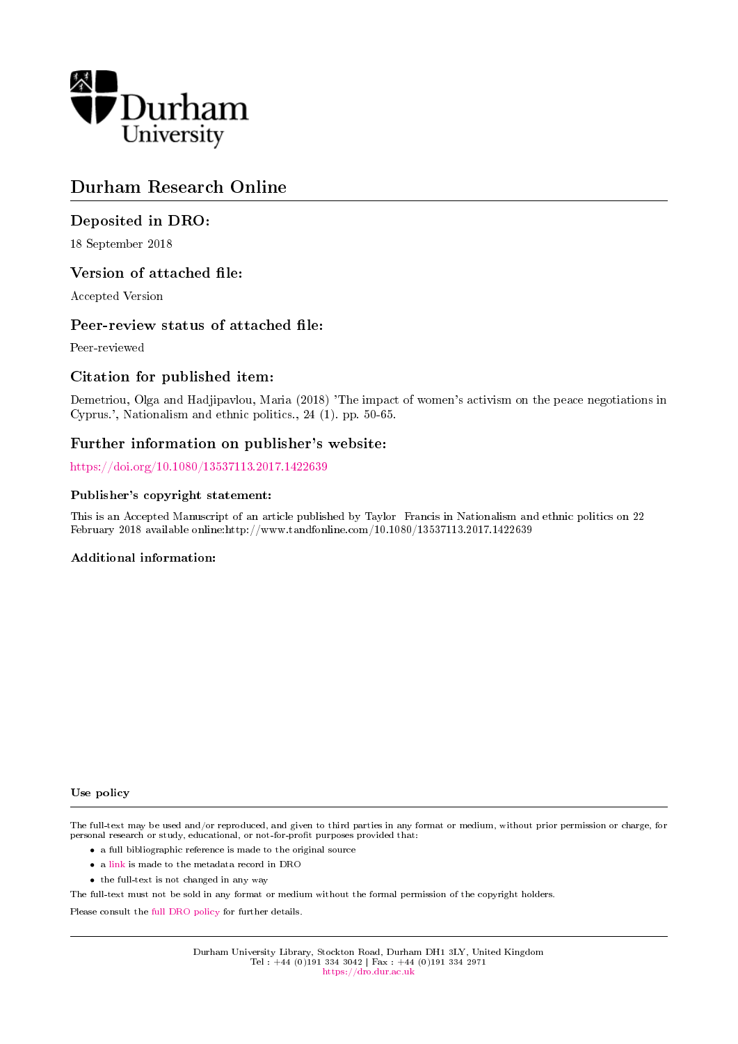

# Durham Research Online

### Deposited in DRO:

18 September 2018

### Version of attached file:

Accepted Version

### Peer-review status of attached file:

Peer-reviewed

### Citation for published item:

Demetriou, Olga and Hadjipavlou, Maria (2018) 'The impact of women's activism on the peace negotiations in Cyprus.', Nationalism and ethnic politics., 24 (1). pp. 50-65.

### Further information on publisher's website:

<https://doi.org/10.1080/13537113.2017.1422639>

#### Publisher's copyright statement:

This is an Accepted Manuscript of an article published by Taylor Francis in Nationalism and ethnic politics on 22 February 2018 available online:http://www.tandfonline.com/10.1080/13537113.2017.1422639

#### Additional information:

Use policy

The full-text may be used and/or reproduced, and given to third parties in any format or medium, without prior permission or charge, for personal research or study, educational, or not-for-profit purposes provided that:

- a full bibliographic reference is made to the original source
- a [link](http://dro.dur.ac.uk/26222/) is made to the metadata record in DRO
- the full-text is not changed in any way

The full-text must not be sold in any format or medium without the formal permission of the copyright holders.

Please consult the [full DRO policy](https://dro.dur.ac.uk/policies/usepolicy.pdf) for further details.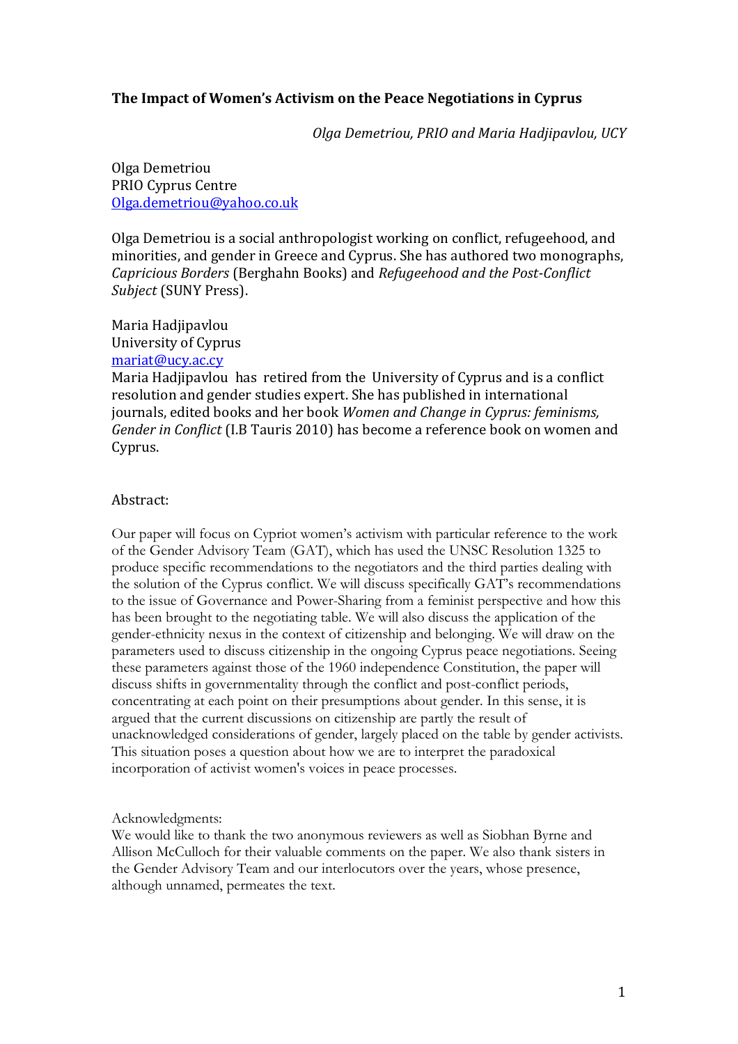# **The Impact of Women's Activism on the Peace Negotiations in Cyprus**

*Olga Demetriou, PRIO and Maria Hadjipavlou, UCY*

Olga Demetriou PRIO Cyprus Centre [Olga.demetriou@yahoo.co.uk](mailto:Olga.demetriou@yahoo.co.uk)

Olga Demetriou is a social anthropologist working on conflict, refugeehood, and minorities, and gender in Greece and Cyprus. She has authored two monographs, *Capricious Borders* (Berghahn Books) and *Refugeehood and the Post-Conflict Subject* (SUNY Press).

Maria Hadjipavlou University of Cyprus [mariat@ucy.ac.cy](mailto:mariat@ucy.ac.cy)

Maria Hadjipavlou has retired from the University of Cyprus and is a conflict resolution and gender studies expert. She has published in international journals, edited books and her book *Women and Change in Cyprus: feminisms, Gender in Conflict* (I.B Tauris 2010) has become a reference book on women and Cyprus.

#### Abstract:

Our paper will focus on Cypriot women's activism with particular reference to the work of the Gender Advisory Team (GAT), which has used the UNSC Resolution 1325 to produce specific recommendations to the negotiators and the third parties dealing with the solution of the Cyprus conflict. We will discuss specifically GAT's recommendations to the issue of Governance and Power-Sharing from a feminist perspective and how this has been brought to the negotiating table. We will also discuss the application of the gender-ethnicity nexus in the context of citizenship and belonging. We will draw on the parameters used to discuss citizenship in the ongoing Cyprus peace negotiations. Seeing these parameters against those of the 1960 independence Constitution, the paper will discuss shifts in governmentality through the conflict and post-conflict periods, concentrating at each point on their presumptions about gender. In this sense, it is argued that the current discussions on citizenship are partly the result of unacknowledged considerations of gender, largely placed on the table by gender activists. This situation poses a question about how we are to interpret the paradoxical incorporation of activist women's voices in peace processes.

Acknowledgments:

We would like to thank the two anonymous reviewers as well as Siobhan Byrne and Allison McCulloch for their valuable comments on the paper. We also thank sisters in the Gender Advisory Team and our interlocutors over the years, whose presence, although unnamed, permeates the text.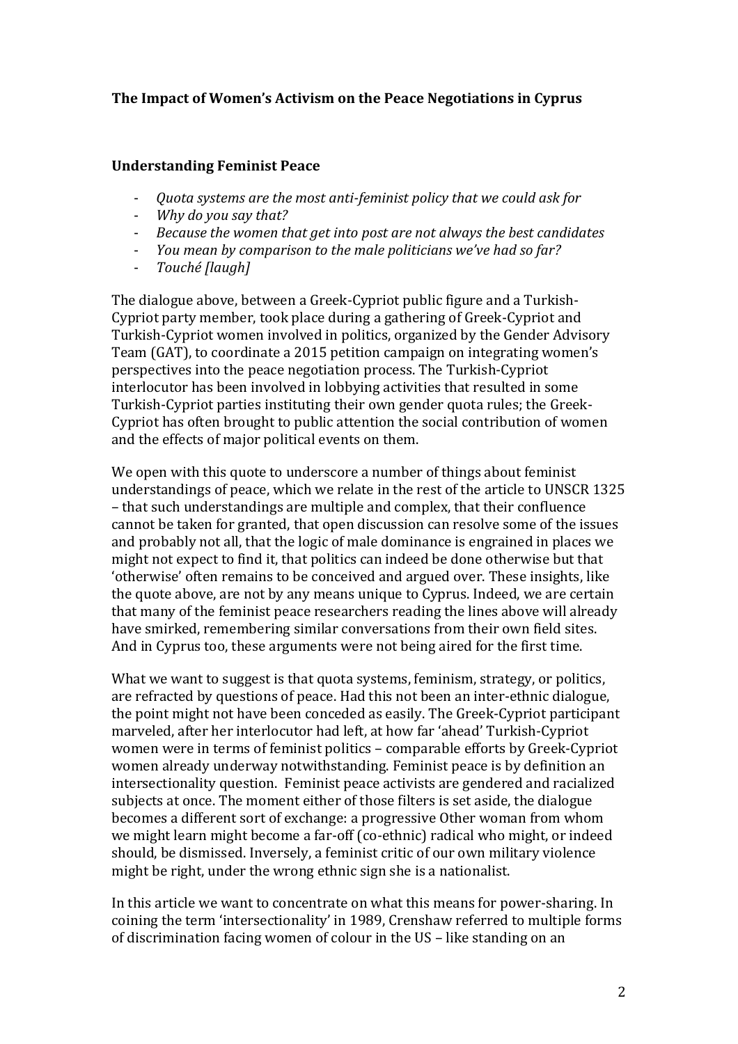# **The Impact of Women's Activism on the Peace Negotiations in Cyprus**

## **Understanding Feminist Peace**

- *Quota systems are the most anti-feminist policy that we could ask for*
- *Why do you say that?*
- *Because the women that get into post are not always the best candidates*
- *You mean by comparison to the male politicians we've had so far?*
- *Touché [laugh]*

The dialogue above, between a Greek-Cypriot public figure and a Turkish-Cypriot party member, took place during a gathering of Greek-Cypriot and Turkish-Cypriot women involved in politics, organized by the Gender Advisory Team (GAT), to coordinate a 2015 petition campaign on integrating women's perspectives into the peace negotiation process. The Turkish-Cypriot interlocutor has been involved in lobbying activities that resulted in some Turkish-Cypriot parties instituting their own gender quota rules; the Greek-Cypriot has often brought to public attention the social contribution of women and the effects of major political events on them.

We open with this quote to underscore a number of things about feminist understandings of peace, which we relate in the rest of the article to UNSCR 1325 – that such understandings are multiple and complex, that their confluence cannot be taken for granted, that open discussion can resolve some of the issues and probably not all, that the logic of male dominance is engrained in places we might not expect to find it, that politics can indeed be done otherwise but that 'otherwise' often remains to be conceived and argued over. These insights, like the quote above, are not by any means unique to Cyprus. Indeed, we are certain that many of the feminist peace researchers reading the lines above will already have smirked, remembering similar conversations from their own field sites. And in Cyprus too, these arguments were not being aired for the first time.

What we want to suggest is that quota systems, feminism, strategy, or politics, are refracted by questions of peace. Had this not been an inter-ethnic dialogue, the point might not have been conceded as easily. The Greek-Cypriot participant marveled, after her interlocutor had left, at how far 'ahead' Turkish-Cypriot women were in terms of feminist politics – comparable efforts by Greek-Cypriot women already underway notwithstanding. Feminist peace is by definition an intersectionality question. Feminist peace activists are gendered and racialized subjects at once. The moment either of those filters is set aside, the dialogue becomes a different sort of exchange: a progressive Other woman from whom we might learn might become a far-off (co-ethnic) radical who might, or indeed should, be dismissed. Inversely, a feminist critic of our own military violence might be right, under the wrong ethnic sign she is a nationalist.

In this article we want to concentrate on what this means for power-sharing. In coining the term 'intersectionality' in 1989, Crenshaw referred to multiple forms of discrimination facing women of colour in the US – like standing on an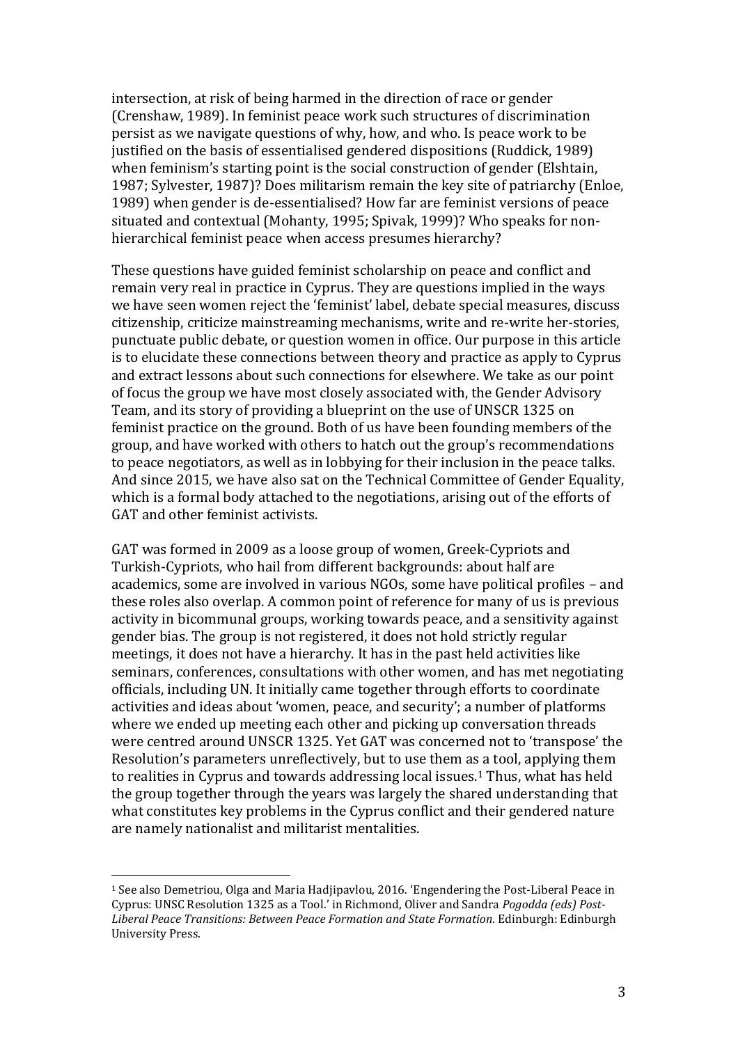intersection, at risk of being harmed in the direction of race or gender (Crenshaw, 1989). In feminist peace work such structures of discrimination persist as we navigate questions of why, how, and who. Is peace work to be justified on the basis of essentialised gendered dispositions (Ruddick, 1989) when feminism's starting point is the social construction of gender (Elshtain, 1987; Sylvester, 1987)? Does militarism remain the key site of patriarchy (Enloe, 1989) when gender is de-essentialised? How far are feminist versions of peace situated and contextual (Mohanty, 1995; Spivak, 1999)? Who speaks for nonhierarchical feminist peace when access presumes hierarchy?

These questions have guided feminist scholarship on peace and conflict and remain very real in practice in Cyprus. They are questions implied in the ways we have seen women reject the 'feminist' label, debate special measures, discuss citizenship, criticize mainstreaming mechanisms, write and re-write her-stories, punctuate public debate, or question women in office. Our purpose in this article is to elucidate these connections between theory and practice as apply to Cyprus and extract lessons about such connections for elsewhere. We take as our point of focus the group we have most closely associated with, the Gender Advisory Team, and its story of providing a blueprint on the use of UNSCR 1325 on feminist practice on the ground. Both of us have been founding members of the group, and have worked with others to hatch out the group's recommendations to peace negotiators, as well as in lobbying for their inclusion in the peace talks. And since 2015, we have also sat on the Technical Committee of Gender Equality, which is a formal body attached to the negotiations, arising out of the efforts of GAT and other feminist activists.

GAT was formed in 2009 as a loose group of women, Greek-Cypriots and Turkish-Cypriots, who hail from different backgrounds: about half are academics, some are involved in various NGOs, some have political profiles – and these roles also overlap. A common point of reference for many of us is previous activity in bicommunal groups, working towards peace, and a sensitivity against gender bias. The group is not registered, it does not hold strictly regular meetings, it does not have a hierarchy. It has in the past held activities like seminars, conferences, consultations with other women, and has met negotiating officials, including UN. It initially came together through efforts to coordinate activities and ideas about 'women, peace, and security'; a number of platforms where we ended up meeting each other and picking up conversation threads were centred around UNSCR 1325. Yet GAT was concerned not to 'transpose' the Resolution's parameters unreflectively, but to use them as a tool, applying them to realities in Cyprus and towards addressing local issues.<sup>1</sup> Thus, what has held the group together through the years was largely the shared understanding that what constitutes key problems in the Cyprus conflict and their gendered nature are namely nationalist and militarist mentalities.

<sup>1</sup> See also Demetriou, Olga and Maria Hadjipavlou, 2016. 'Engendering the Post-Liberal Peace in Cyprus: UNSC Resolution 1325 as a Tool.' in Richmond, Oliver and Sandra *Pogodda (eds) Post-Liberal Peace Transitions: Between Peace Formation and State Formation.* Edinburgh: Edinburgh University Press.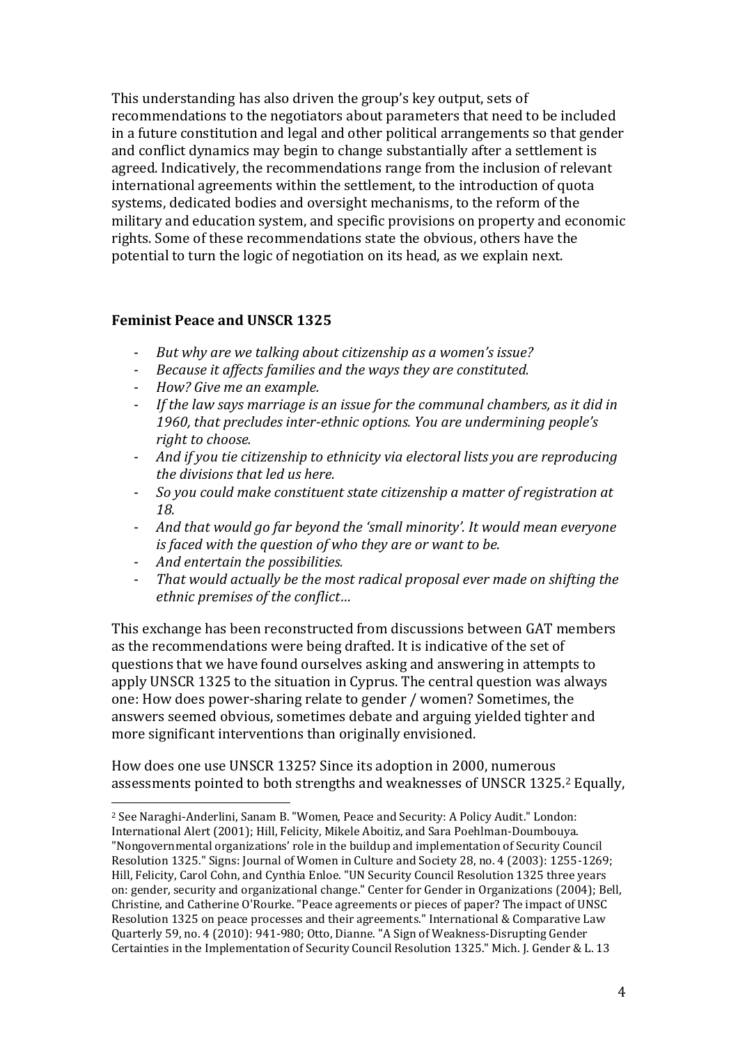This understanding has also driven the group's key output, sets of recommendations to the negotiators about parameters that need to be included in a future constitution and legal and other political arrangements so that gender and conflict dynamics may begin to change substantially after a settlement is agreed. Indicatively, the recommendations range from the inclusion of relevant international agreements within the settlement, to the introduction of quota systems, dedicated bodies and oversight mechanisms, to the reform of the military and education system, and specific provisions on property and economic rights. Some of these recommendations state the obvious, others have the potential to turn the logic of negotiation on its head, as we explain next.

### **Feminist Peace and UNSCR 1325**

- *But why are we talking about citizenship as a women's issue?*
- *Because it affects families and the ways they are constituted.*
- *How? Give me an example.*
- If the law says marriage is an issue for the communal chambers, as it did in *1960, that precludes inter-ethnic options. You are undermining people's right to choose.*
- *And if you tie citizenship to ethnicity via electoral lists you are reproducing the divisions that led us here.*
- *So you could make constituent state citizenship a matter of registration at 18.*
- *And that would go far beyond the 'small minority'. It would mean everyone is faced with the question of who they are or want to be.*
- *And entertain the possibilities.*

 $\overline{a}$ 

- *That would actually be the most radical proposal ever made on shifting the ethnic premises of the conflict…*

This exchange has been reconstructed from discussions between GAT members as the recommendations were being drafted. It is indicative of the set of questions that we have found ourselves asking and answering in attempts to apply UNSCR 1325 to the situation in Cyprus. The central question was always one: How does power-sharing relate to gender / women? Sometimes, the answers seemed obvious, sometimes debate and arguing yielded tighter and more significant interventions than originally envisioned.

How does one use UNSCR 1325? Since its adoption in 2000, numerous assessments pointed to both strengths and weaknesses of UNSCR 1325. <sup>2</sup> Equally,

<sup>2</sup> See Naraghi-Anderlini, Sanam B. "Women, Peace and Security: A Policy Audit." London: International Alert (2001); Hill, Felicity, Mikele Aboitiz, and Sara Poehlman-Doumbouya. "Nongovernmental organizations' role in the buildup and implementation of Security Council Resolution 1325." Signs: Journal of Women in Culture and Society 28, no. 4 (2003): 1255-1269; Hill, Felicity, Carol Cohn, and Cynthia Enloe. "UN Security Council Resolution 1325 three years on: gender, security and organizational change." Center for Gender in Organizations (2004); Bell, Christine, and Catherine O'Rourke. "Peace agreements or pieces of paper? The impact of UNSC Resolution 1325 on peace processes and their agreements." International & Comparative Law Quarterly 59, no. 4 (2010): 941-980; Otto, Dianne. "A Sign of Weakness-Disrupting Gender Certainties in the Implementation of Security Council Resolution 1325." Mich. J. Gender & L. 13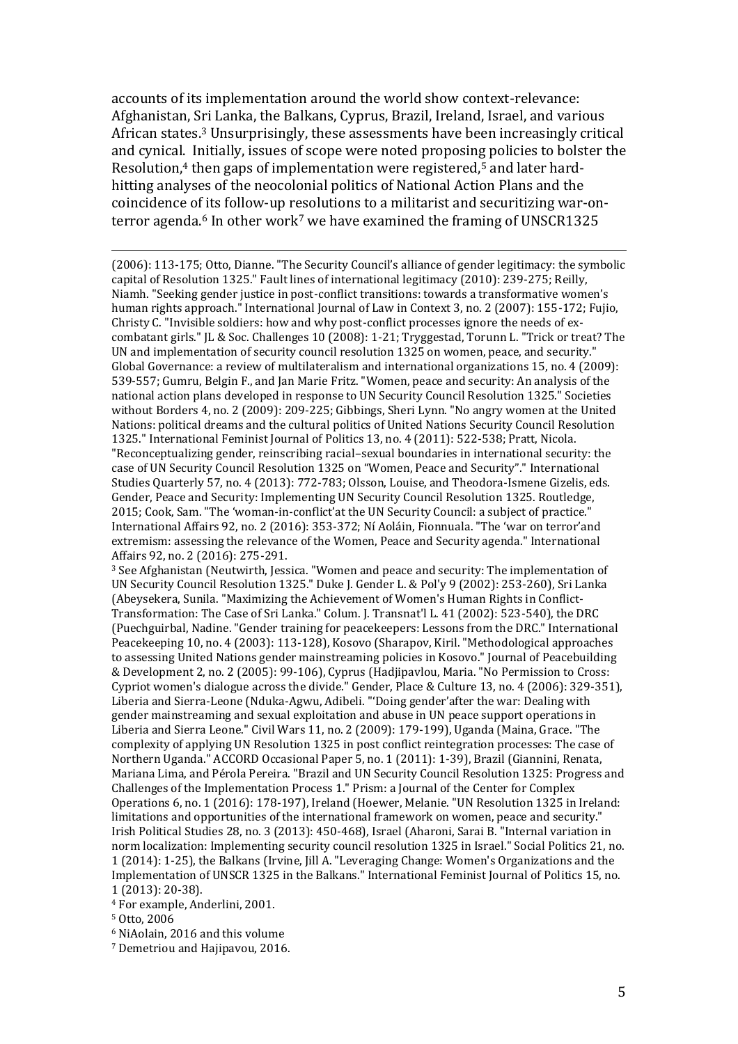accounts of its implementation around the world show context-relevance: Afghanistan, Sri Lanka, the Balkans, Cyprus, Brazil, Ireland, Israel, and various African states.<sup>3</sup> Unsurprisingly, these assessments have been increasingly critical and cynical. Initially, issues of scope were noted proposing policies to bolster the Resolution,<sup>4</sup> then gaps of implementation were registered,<sup>5</sup> and later hardhitting analyses of the neocolonial politics of National Action Plans and the coincidence of its follow-up resolutions to a militarist and securitizing war-onterror agenda.<sup>6</sup> In other work<sup>7</sup> we have examined the framing of UNSCR1325

(2006): 113-175; Otto, Dianne. "The Security Council's alliance of gender legitimacy: the symbolic capital of Resolution 1325." Fault lines of international legitimacy (2010): 239-275; Reilly, Niamh. "Seeking gender justice in post-conflict transitions: towards a transformative women's human rights approach." International Journal of Law in Context 3, no. 2 (2007): 155-172; Fujio, Christy C. "Invisible soldiers: how and why post-conflict processes ignore the needs of excombatant girls." JL & Soc. Challenges 10 (2008): 1-21; Tryggestad, Torunn L. "Trick or treat? The UN and implementation of security council resolution 1325 on women, peace, and security." Global Governance: a review of multilateralism and international organizations 15, no. 4 (2009): 539-557; Gumru, Belgin F., and Jan Marie Fritz. "Women, peace and security: An analysis of the national action plans developed in response to UN Security Council Resolution 1325." Societies without Borders 4, no. 2 (2009): 209-225; Gibbings, Sheri Lynn. "No angry women at the United Nations: political dreams and the cultural politics of United Nations Security Council Resolution 1325." International Feminist Journal of Politics 13, no. 4 (2011): 522-538; Pratt, Nicola. "Reconceptualizing gender, reinscribing racial–sexual boundaries in international security: the case of UN Security Council Resolution 1325 on "Women, Peace and Security"." International Studies Quarterly 57, no. 4 (2013): 772-783; Olsson, Louise, and Theodora-Ismene Gizelis, eds. Gender, Peace and Security: Implementing UN Security Council Resolution 1325. Routledge, 2015; Cook, Sam. "The 'woman-in-conflict'at the UN Security Council: a subject of practice." International Affairs 92, no. 2 (2016): 353-372; Ní Aoláin, Fionnuala. "The 'war on terror'and extremism: assessing the relevance of the Women, Peace and Security agenda." International Affairs 92, no. 2 (2016): 275-291.

<sup>3</sup> See Afghanistan (Neutwirth, Jessica. "Women and peace and security: The implementation of UN Security Council Resolution 1325." Duke J. Gender L. & Pol'y 9 (2002): 253-260), Sri Lanka (Abeysekera, Sunila. "Maximizing the Achievement of Women's Human Rights in Conflict-Transformation: The Case of Sri Lanka." Colum. J. Transnat'l L. 41 (2002): 523-540), the DRC (Puechguirbal, Nadine. "Gender training for peacekeepers: Lessons from the DRC." International Peacekeeping 10, no. 4 (2003): 113-128), Kosovo (Sharapov, Kiril. "Methodological approaches to assessing United Nations gender mainstreaming policies in Kosovo." Journal of Peacebuilding & Development 2, no. 2 (2005): 99-106), Cyprus (Hadjipavlou, Maria. "No Permission to Cross: Cypriot women's dialogue across the divide." Gender, Place & Culture 13, no. 4 (2006): 329-351), Liberia and Sierra-Leone (Nduka-Agwu, Adibeli. "'Doing gender'after the war: Dealing with gender mainstreaming and sexual exploitation and abuse in UN peace support operations in Liberia and Sierra Leone." Civil Wars 11, no. 2 (2009): 179-199), Uganda (Maina, Grace. "The complexity of applying UN Resolution 1325 in post conflict reintegration processes: The case of Northern Uganda." ACCORD Occasional Paper 5, no. 1 (2011): 1-39), Brazil (Giannini, Renata, Mariana Lima, and Pérola Pereira. "Brazil and UN Security Council Resolution 1325: Progress and Challenges of the Implementation Process 1." Prism: a Journal of the Center for Complex Operations 6, no. 1 (2016): 178-197), Ireland (Hoewer, Melanie. "UN Resolution 1325 in Ireland: limitations and opportunities of the international framework on women, peace and security." Irish Political Studies 28, no. 3 (2013): 450-468), Israel (Aharoni, Sarai B. "Internal variation in norm localization: Implementing security council resolution 1325 in Israel." Social Politics 21, no. 1 (2014): 1-25), the Balkans (Irvine, Jill A. "Leveraging Change: Women's Organizations and the Implementation of UNSCR 1325 in the Balkans." International Feminist Journal of Politics 15, no. 1 (2013): 20-38).

<sup>4</sup> For example, Anderlini, 2001.

<sup>5</sup> Otto, 2006

 $\overline{a}$ 

<sup>6</sup> NiAolain, 2016 and this volume

<sup>7</sup> Demetriou and Hajipavou, 2016.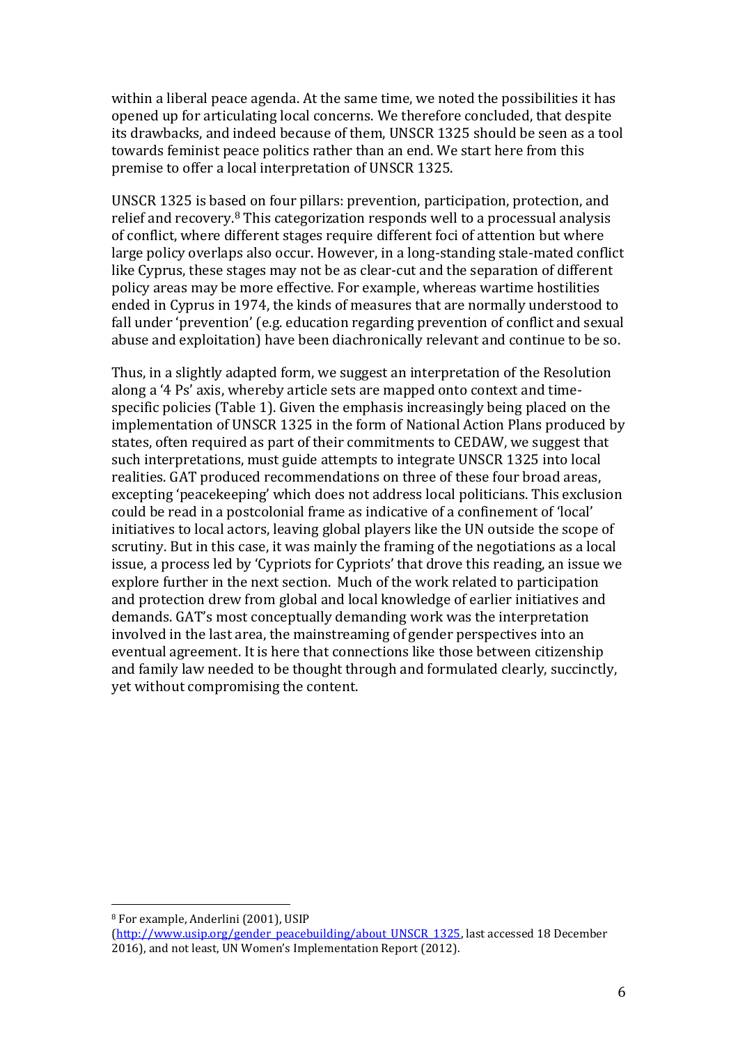within a liberal peace agenda. At the same time, we noted the possibilities it has opened up for articulating local concerns. We therefore concluded, that despite its drawbacks, and indeed because of them, UNSCR 1325 should be seen as a tool towards feminist peace politics rather than an end. We start here from this premise to offer a local interpretation of UNSCR 1325.

UNSCR 1325 is based on four pillars: prevention, participation, protection, and relief and recovery.<sup>8</sup> This categorization responds well to a processual analysis of conflict, where different stages require different foci of attention but where large policy overlaps also occur. However, in a long-standing stale-mated conflict like Cyprus, these stages may not be as clear-cut and the separation of different policy areas may be more effective. For example, whereas wartime hostilities ended in Cyprus in 1974, the kinds of measures that are normally understood to fall under 'prevention' (e.g. education regarding prevention of conflict and sexual abuse and exploitation) have been diachronically relevant and continue to be so.

Thus, in a slightly adapted form, we suggest an interpretation of the Resolution along a '4 Ps' axis, whereby article sets are mapped onto context and timespecific policies (Table 1). Given the emphasis increasingly being placed on the implementation of UNSCR 1325 in the form of National Action Plans produced by states, often required as part of their commitments to CEDAW, we suggest that such interpretations, must guide attempts to integrate UNSCR 1325 into local realities. GAT produced recommendations on three of these four broad areas, excepting 'peacekeeping' which does not address local politicians. This exclusion could be read in a postcolonial frame as indicative of a confinement of 'local' initiatives to local actors, leaving global players like the UN outside the scope of scrutiny. But in this case, it was mainly the framing of the negotiations as a local issue, a process led by 'Cypriots for Cypriots' that drove this reading, an issue we explore further in the next section. Much of the work related to participation and protection drew from global and local knowledge of earlier initiatives and demands. GAT's most conceptually demanding work was the interpretation involved in the last area, the mainstreaming of gender perspectives into an eventual agreement. It is here that connections like those between citizenship and family law needed to be thought through and formulated clearly, succinctly, yet without compromising the content.

<sup>8</sup> For example, Anderlini (2001), USIP

[<sup>\(</sup>http://www.usip.org/gender\\_peacebuilding/about\\_UNSCR\\_1325,](http://www.usip.org/gender_peacebuilding/about_UNSCR_1325) last accessed 18 December 2016), and not least, UN Women's Implementation Report (2012).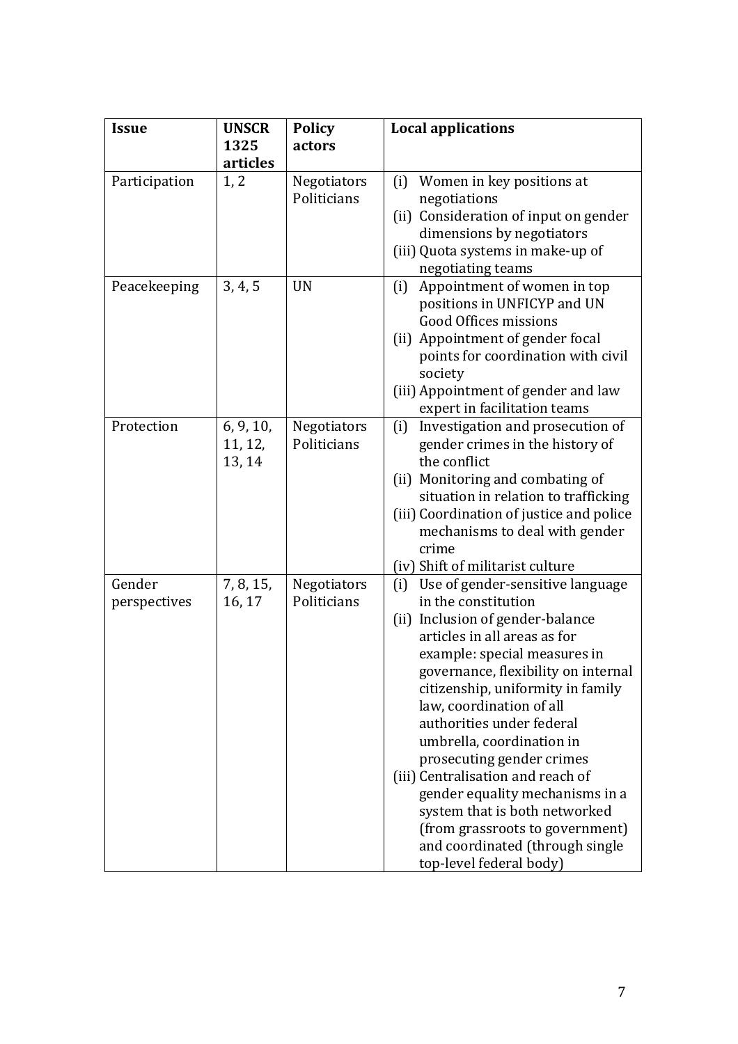| <b>Issue</b>           | <b>UNSCR</b>                   | <b>Policy</b>              | <b>Local applications</b>                                                                                                                                                                                                                                                                                                                                                                                                                                                                                                                                                   |
|------------------------|--------------------------------|----------------------------|-----------------------------------------------------------------------------------------------------------------------------------------------------------------------------------------------------------------------------------------------------------------------------------------------------------------------------------------------------------------------------------------------------------------------------------------------------------------------------------------------------------------------------------------------------------------------------|
|                        | 1325<br>articles               | actors                     |                                                                                                                                                                                                                                                                                                                                                                                                                                                                                                                                                                             |
| Participation          | 1, 2                           | Negotiators<br>Politicians | Women in key positions at<br>(i)<br>negotiations<br>(ii) Consideration of input on gender<br>dimensions by negotiators<br>(iii) Quota systems in make-up of<br>negotiating teams                                                                                                                                                                                                                                                                                                                                                                                            |
| Peacekeeping           | 3, 4, 5                        | <b>UN</b>                  | Appointment of women in top<br>(i)<br>positions in UNFICYP and UN<br><b>Good Offices missions</b><br>(ii) Appointment of gender focal<br>points for coordination with civil<br>society<br>(iii) Appointment of gender and law<br>expert in facilitation teams                                                                                                                                                                                                                                                                                                               |
| Protection             | 6, 9, 10,<br>11, 12,<br>13, 14 | Negotiators<br>Politicians | (i)<br>Investigation and prosecution of<br>gender crimes in the history of<br>the conflict<br>(ii) Monitoring and combating of<br>situation in relation to trafficking<br>(iii) Coordination of justice and police<br>mechanisms to deal with gender<br>crime<br>(iv) Shift of militarist culture                                                                                                                                                                                                                                                                           |
| Gender<br>perspectives | 7, 8, 15,<br>16, 17            | Negotiators<br>Politicians | Use of gender-sensitive language<br>(i)<br>in the constitution<br>(ii) Inclusion of gender-balance<br>articles in all areas as for<br>example: special measures in<br>governance, flexibility on internal<br>citizenship, uniformity in family<br>law, coordination of all<br>authorities under federal<br>umbrella, coordination in<br>prosecuting gender crimes<br>(iii) Centralisation and reach of<br>gender equality mechanisms in a<br>system that is both networked<br>(from grassroots to government)<br>and coordinated (through single<br>top-level federal body) |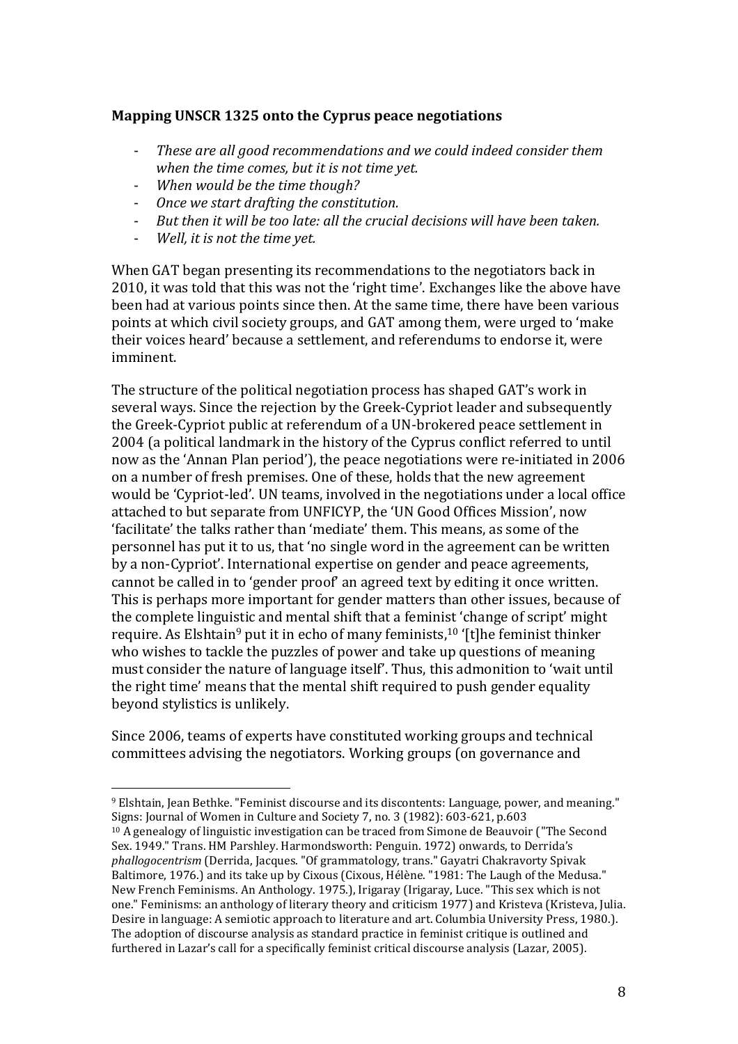# **Mapping UNSCR 1325 onto the Cyprus peace negotiations**

- *These are all good recommendations and we could indeed consider them when the time comes, but it is not time yet.*
- *When would be the time though?*
- *Once we start drafting the constitution.*
- *But then it will be too late: all the crucial decisions will have been taken.*
- *Well, it is not the time yet.*

 $\overline{a}$ 

When GAT began presenting its recommendations to the negotiators back in 2010, it was told that this was not the 'right time'. Exchanges like the above have been had at various points since then. At the same time, there have been various points at which civil society groups, and GAT among them, were urged to 'make their voices heard' because a settlement, and referendums to endorse it, were imminent.

The structure of the political negotiation process has shaped GAT's work in several ways. Since the rejection by the Greek-Cypriot leader and subsequently the Greek-Cypriot public at referendum of a UN-brokered peace settlement in 2004 (a political landmark in the history of the Cyprus conflict referred to until now as the 'Annan Plan period'), the peace negotiations were re-initiated in 2006 on a number of fresh premises. One of these, holds that the new agreement would be 'Cypriot-led'. UN teams, involved in the negotiations under a local office attached to but separate from UNFICYP, the 'UN Good Offices Mission', now 'facilitate' the talks rather than 'mediate' them. This means, as some of the personnel has put it to us, that 'no single word in the agreement can be written by a non-Cypriot'. International expertise on gender and peace agreements, cannot be called in to 'gender proof' an agreed text by editing it once written. This is perhaps more important for gender matters than other issues, because of the complete linguistic and mental shift that a feminist 'change of script' might require. As Elshtain<sup>9</sup> put it in echo of many feminists,<sup>10</sup> '[t]he feminist thinker who wishes to tackle the puzzles of power and take up questions of meaning must consider the nature of language itself'. Thus, this admonition to 'wait until the right time' means that the mental shift required to push gender equality beyond stylistics is unlikely.

Since 2006, teams of experts have constituted working groups and technical committees advising the negotiators. Working groups (on governance and

<sup>9</sup> Elshtain, Jean Bethke. "Feminist discourse and its discontents: Language, power, and meaning." Signs: Journal of Women in Culture and Society 7, no. 3 (1982): 603-621, p.603

<sup>&</sup>lt;sup>10</sup> A genealogy of linguistic investigation can be traced from Simone de Beauvoir ("The Second" Sex. 1949." Trans. HM Parshley. Harmondsworth: Penguin. 1972) onwards, to Derrida's *phallogocentrism* (Derrida, Jacques. "Of grammatology, trans." Gayatri Chakravorty Spivak Baltimore, 1976.) and its take up by Cixous (Cixous, Hélène. "1981: The Laugh of the Medusa." New French Feminisms. An Anthology. 1975.), Irigaray (Irigaray, Luce. "This sex which is not one." Feminisms: an anthology of literary theory and criticism 1977) and Kristeva (Kristeva, Julia. Desire in language: A semiotic approach to literature and art. Columbia University Press, 1980.). The adoption of discourse analysis as standard practice in feminist critique is outlined and furthered in Lazar's call for a specifically feminist critical discourse analysis (Lazar, 2005).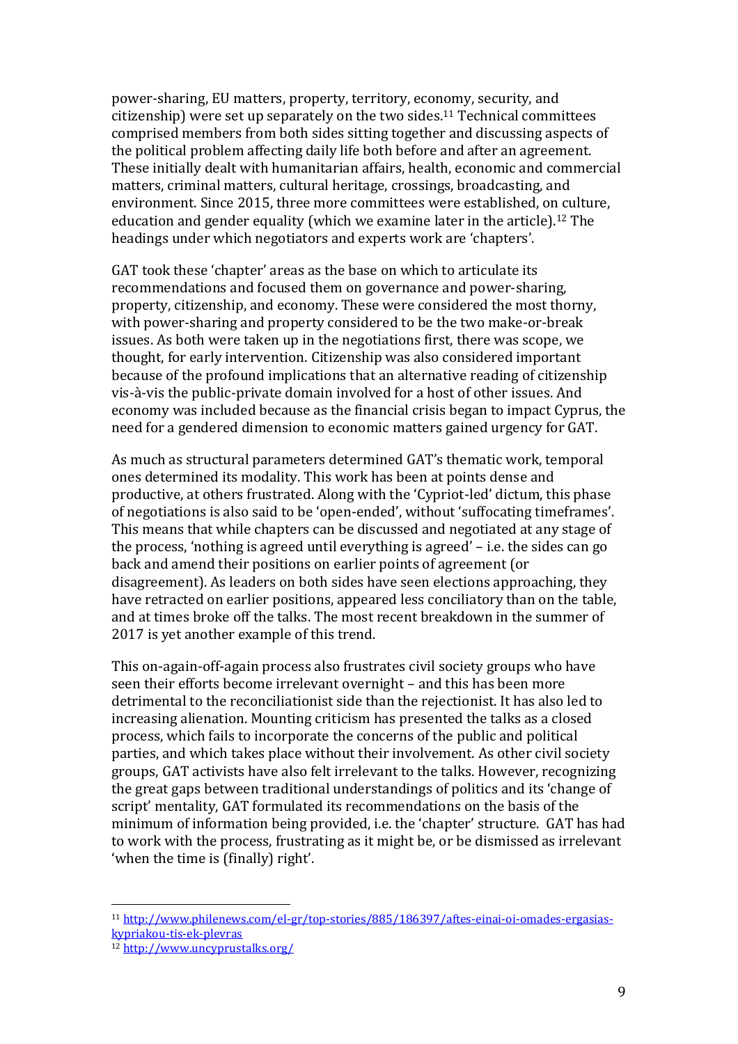power-sharing, EU matters, property, territory, economy, security, and citizenship) were set up separately on the two sides.<sup>11</sup> Technical committees comprised members from both sides sitting together and discussing aspects of the political problem affecting daily life both before and after an agreement. These initially dealt with humanitarian affairs, health, economic and commercial matters, criminal matters, cultural heritage, crossings, broadcasting, and environment. Since 2015, three more committees were established, on culture, education and gender equality (which we examine later in the article).<sup>12</sup> The headings under which negotiators and experts work are 'chapters'.

GAT took these 'chapter' areas as the base on which to articulate its recommendations and focused them on governance and power-sharing, property, citizenship, and economy. These were considered the most thorny, with power-sharing and property considered to be the two make-or-break issues. As both were taken up in the negotiations first, there was scope, we thought, for early intervention. Citizenship was also considered important because of the profound implications that an alternative reading of citizenship vis-à-vis the public-private domain involved for a host of other issues. And economy was included because as the financial crisis began to impact Cyprus, the need for a gendered dimension to economic matters gained urgency for GAT.

As much as structural parameters determined GAT's thematic work, temporal ones determined its modality. This work has been at points dense and productive, at others frustrated. Along with the 'Cypriot-led' dictum, this phase of negotiations is also said to be 'open-ended', without 'suffocating timeframes'. This means that while chapters can be discussed and negotiated at any stage of the process, 'nothing is agreed until everything is agreed' – i.e. the sides can go back and amend their positions on earlier points of agreement (or disagreement). As leaders on both sides have seen elections approaching, they have retracted on earlier positions, appeared less conciliatory than on the table, and at times broke off the talks. The most recent breakdown in the summer of 2017 is yet another example of this trend.

This on-again-off-again process also frustrates civil society groups who have seen their efforts become irrelevant overnight – and this has been more detrimental to the reconciliationist side than the rejectionist. It has also led to increasing alienation. Mounting criticism has presented the talks as a closed process, which fails to incorporate the concerns of the public and political parties, and which takes place without their involvement. As other civil society groups, GAT activists have also felt irrelevant to the talks. However, recognizing the great gaps between traditional understandings of politics and its 'change of script' mentality, GAT formulated its recommendations on the basis of the minimum of information being provided, i.e. the 'chapter' structure. GAT has had to work with the process, frustrating as it might be, or be dismissed as irrelevant 'when the time is (finally) right'.

<sup>11</sup> [http://www.philenews.com/el-gr/top-stories/885/186397/aftes-einai-oi-omades-ergasias](http://www.philenews.com/el-gr/top-stories/885/186397/aftes-einai-oi-omades-ergasias-kypriakou-tis-ek-plevras)[kypriakou-tis-ek-plevras](http://www.philenews.com/el-gr/top-stories/885/186397/aftes-einai-oi-omades-ergasias-kypriakou-tis-ek-plevras)

<sup>12</sup> <http://www.uncyprustalks.org/>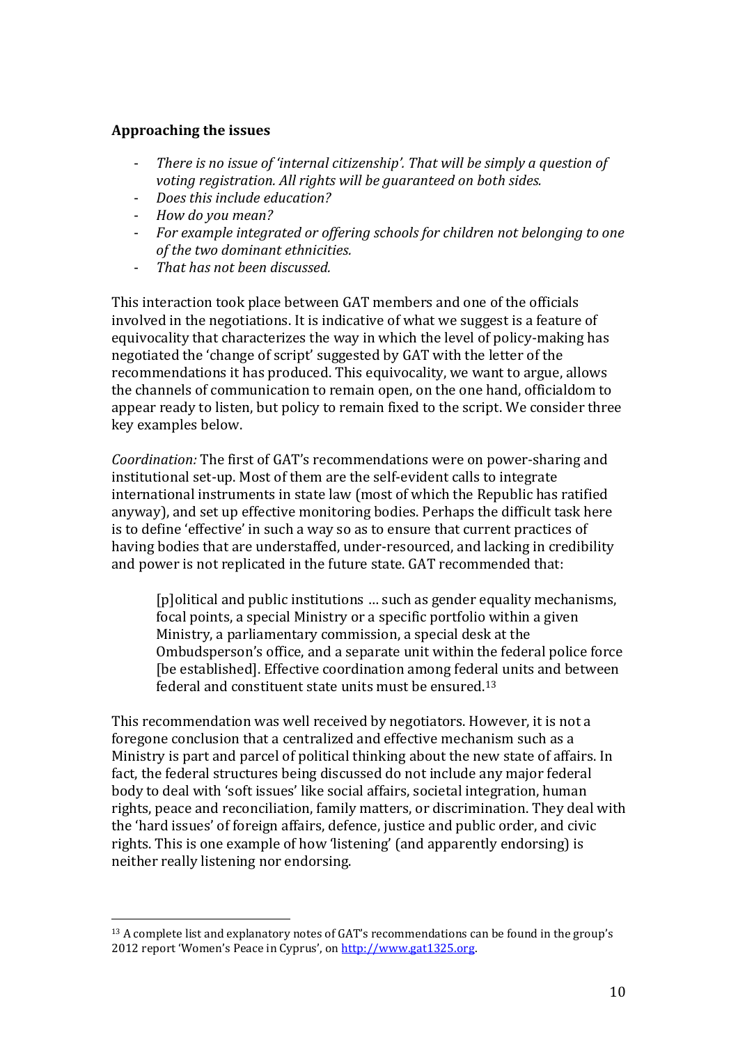# **Approaching the issues**

- *There is no issue of 'internal citizenship'. That will be simply a question of voting registration. All rights will be guaranteed on both sides.*
- *Does this include education?*
- *How do you mean?*

 $\overline{a}$ 

- *For example integrated or offering schools for children not belonging to one of the two dominant ethnicities.*
- *That has not been discussed.*

This interaction took place between GAT members and one of the officials involved in the negotiations. It is indicative of what we suggest is a feature of equivocality that characterizes the way in which the level of policy-making has negotiated the 'change of script' suggested by GAT with the letter of the recommendations it has produced. This equivocality, we want to argue, allows the channels of communication to remain open, on the one hand, officialdom to appear ready to listen, but policy to remain fixed to the script. We consider three key examples below.

*Coordination:* The first of GAT's recommendations were on power-sharing and institutional set-up. Most of them are the self-evident calls to integrate international instruments in state law (most of which the Republic has ratified anyway), and set up effective monitoring bodies. Perhaps the difficult task here is to define 'effective' in such a way so as to ensure that current practices of having bodies that are understaffed, under-resourced, and lacking in credibility and power is not replicated in the future state. GAT recommended that:

[p]olitical and public institutions … such as gender equality mechanisms, focal points, a special Ministry or a specific portfolio within a given Ministry, a parliamentary commission, a special desk at the Ombudsperson's office, and a separate unit within the federal police force [be established]. Effective coordination among federal units and between federal and constituent state units must be ensured.<sup>13</sup>

This recommendation was well received by negotiators. However, it is not a foregone conclusion that a centralized and effective mechanism such as a Ministry is part and parcel of political thinking about the new state of affairs. In fact, the federal structures being discussed do not include any major federal body to deal with 'soft issues' like social affairs, societal integration, human rights, peace and reconciliation, family matters, or discrimination. They deal with the 'hard issues' of foreign affairs, defence, justice and public order, and civic rights. This is one example of how 'listening' (and apparently endorsing) is neither really listening nor endorsing.

<sup>&</sup>lt;sup>13</sup> A complete list and explanatory notes of GAT's recommendations can be found in the group's 2012 report 'Women's Peace in Cyprus', on [http://www.gat1325.org.](http://www.gat1325.org/)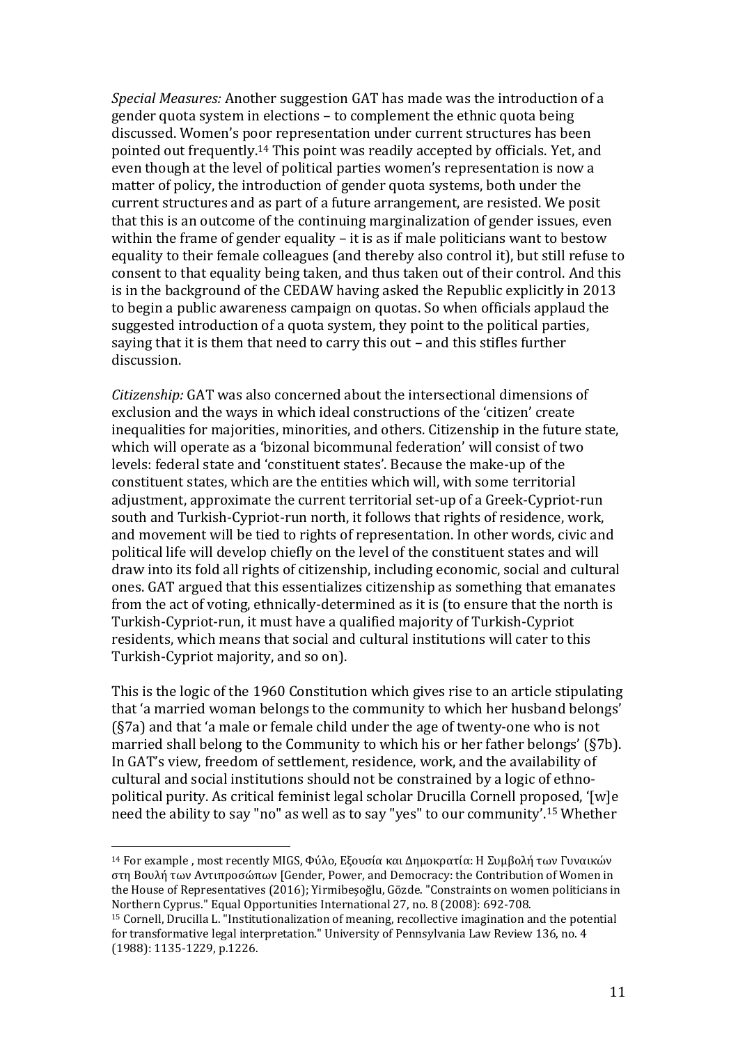*Special Measures:* Another suggestion GAT has made was the introduction of a gender quota system in elections – to complement the ethnic quota being discussed. Women's poor representation under current structures has been pointed out frequently. <sup>14</sup> This point was readily accepted by officials. Yet, and even though at the level of political parties women's representation is now a matter of policy, the introduction of gender quota systems, both under the current structures and as part of a future arrangement, are resisted. We posit that this is an outcome of the continuing marginalization of gender issues, even within the frame of gender equality – it is as if male politicians want to bestow equality to their female colleagues (and thereby also control it), but still refuse to consent to that equality being taken, and thus taken out of their control. And this is in the background of the CEDAW having asked the Republic explicitly in 2013 to begin a public awareness campaign on quotas. So when officials applaud the suggested introduction of a quota system, they point to the political parties, saying that it is them that need to carry this out – and this stifles further discussion.

*Citizenship:* GAT was also concerned about the intersectional dimensions of exclusion and the ways in which ideal constructions of the 'citizen' create inequalities for majorities, minorities, and others. Citizenship in the future state, which will operate as a 'bizonal bicommunal federation' will consist of two levels: federal state and 'constituent states'. Because the make-up of the constituent states, which are the entities which will, with some territorial adjustment, approximate the current territorial set-up of a Greek-Cypriot-run south and Turkish-Cypriot-run north, it follows that rights of residence, work, and movement will be tied to rights of representation. In other words, civic and political life will develop chiefly on the level of the constituent states and will draw into its fold all rights of citizenship, including economic, social and cultural ones. GAT argued that this essentializes citizenship as something that emanates from the act of voting, ethnically-determined as it is (to ensure that the north is Turkish-Cypriot-run, it must have a qualified majority of Turkish-Cypriot residents, which means that social and cultural institutions will cater to this Turkish-Cypriot majority, and so on).

This is the logic of the 1960 Constitution which gives rise to an article stipulating that 'a married woman belongs to the community to which her husband belongs' (§7a) and that 'a male or female child under the age of twenty-one who is not married shall belong to the Community to which his or her father belongs' (§7b). In GAT's view, freedom of settlement, residence, work, and the availability of cultural and social institutions should not be constrained by a logic of ethnopolitical purity. As critical feminist legal scholar Drucilla Cornell proposed, '[w]e need the ability to say "no" as well as to say "yes" to our community'. <sup>15</sup> Whether

<sup>14</sup> For example , most recently MIGS, Φύλο, Εξουσία και Δημοκρατία: Η Συμβολή των Γυναικών στη Βουλή των Αντιπροσώπων [Gender, Power, and Democracy: the Contribution of Women in the House of Representatives (2016); Yirmibeşoğlu, Gözde. "Constraints on women politicians in Northern Cyprus." Equal Opportunities International 27, no. 8 (2008): 692-708.

<sup>15</sup> Cornell, Drucilla L. "Institutionalization of meaning, recollective imagination and the potential for transformative legal interpretation." University of Pennsylvania Law Review 136, no. 4 (1988): 1135-1229, p.1226.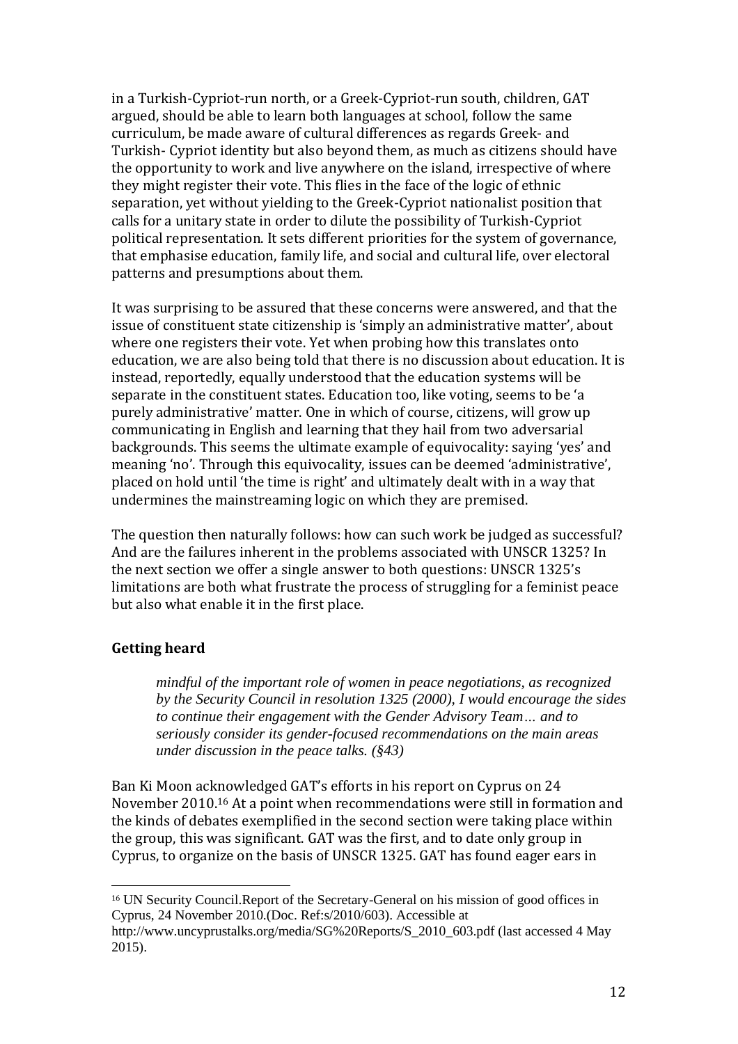in a Turkish-Cypriot-run north, or a Greek-Cypriot-run south, children, GAT argued, should be able to learn both languages at school, follow the same curriculum, be made aware of cultural differences as regards Greek- and Turkish- Cypriot identity but also beyond them, as much as citizens should have the opportunity to work and live anywhere on the island, irrespective of where they might register their vote. This flies in the face of the logic of ethnic separation, yet without yielding to the Greek-Cypriot nationalist position that calls for a unitary state in order to dilute the possibility of Turkish-Cypriot political representation. It sets different priorities for the system of governance, that emphasise education, family life, and social and cultural life, over electoral patterns and presumptions about them.

It was surprising to be assured that these concerns were answered, and that the issue of constituent state citizenship is 'simply an administrative matter', about where one registers their vote. Yet when probing how this translates onto education, we are also being told that there is no discussion about education. It is instead, reportedly, equally understood that the education systems will be separate in the constituent states. Education too, like voting, seems to be 'a purely administrative' matter. One in which of course, citizens, will grow up communicating in English and learning that they hail from two adversarial backgrounds. This seems the ultimate example of equivocality: saying 'yes' and meaning 'no'. Through this equivocality, issues can be deemed 'administrative', placed on hold until 'the time is right' and ultimately dealt with in a way that undermines the mainstreaming logic on which they are premised.

The question then naturally follows: how can such work be judged as successful? And are the failures inherent in the problems associated with UNSCR 1325? In the next section we offer a single answer to both questions: UNSCR 1325's limitations are both what frustrate the process of struggling for a feminist peace but also what enable it in the first place.

# **Getting heard**

 $\overline{a}$ 

*mindful of the important role of women in peace negotiations, as recognized by the Security Council in resolution 1325 (2000), I would encourage the sides to continue their engagement with the Gender Advisory Team… and to seriously consider its gender-focused recommendations on the main areas under discussion in the peace talks. (§43)*

Ban Ki Moon acknowledged GAT's efforts in his report on Cyprus on 24 November 2010.<sup>16</sup> At a point when recommendations were still in formation and the kinds of debates exemplified in the second section were taking place within the group, this was significant. GAT was the first, and to date only group in Cyprus, to organize on the basis of UNSCR 1325. GAT has found eager ears in

<sup>16</sup> UN Security Council.Report of the Secretary-General on his mission of good offices in Cyprus, 24 November 2010.(Doc. Ref:s/2010/603). Accessible at

http://www.uncyprustalks.org/media/SG%20Reports/S\_2010\_603.pdf (last accessed 4 May 2015).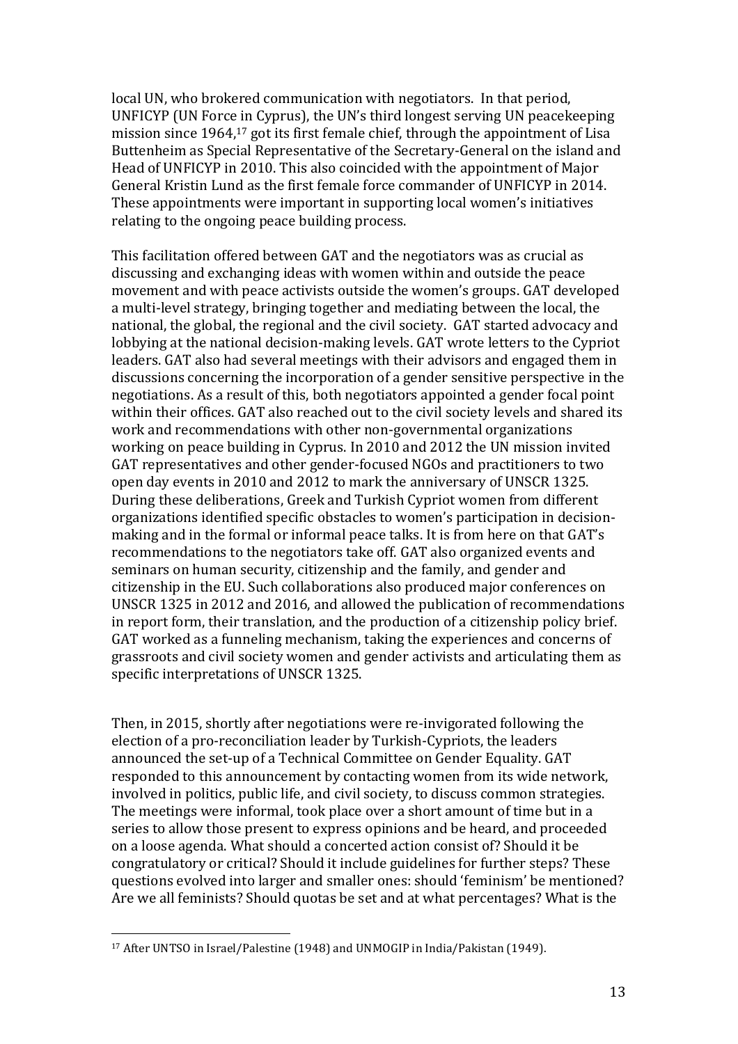local UN, who brokered communication with negotiators. In that period, UNFICYP (UN Force in Cyprus), the UN's third longest serving UN peacekeeping mission since 1964,<sup>17</sup> got its first female chief, through the appointment of Lisa Buttenheim as Special Representative of the Secretary-General on the island and Head of UNFICYP in 2010. This also coincided with the appointment of Major General Kristin Lund as the first female force commander of UNFICYP in 2014. These appointments were important in supporting local women's initiatives relating to the ongoing peace building process.

This facilitation offered between GAT and the negotiators was as crucial as discussing and exchanging ideas with women within and outside the peace movement and with peace activists outside the women's groups. GAT developed a multi-level strategy, bringing together and mediating between the local, the national, the global, the regional and the civil society. GAT started advocacy and lobbying at the national decision-making levels. GAT wrote letters to the Cypriot leaders. GAT also had several meetings with their advisors and engaged them in discussions concerning the incorporation of a gender sensitive perspective in the negotiations. As a result of this, both negotiators appointed a gender focal point within their offices. GAT also reached out to the civil society levels and shared its work and recommendations with other non-governmental organizations working on peace building in Cyprus. In 2010 and 2012 the UN mission invited GAT representatives and other gender-focused NGOs and practitioners to two open day events in 2010 and 2012 to mark the anniversary of UNSCR 1325. During these deliberations, Greek and Turkish Cypriot women from different organizations identified specific obstacles to women's participation in decisionmaking and in the formal or informal peace talks. It is from here on that GAT's recommendations to the negotiators take off. GAT also organized events and seminars on human security, citizenship and the family, and gender and citizenship in the EU. Such collaborations also produced major conferences on UNSCR 1325 in 2012 and 2016, and allowed the publication of recommendations in report form, their translation, and the production of a citizenship policy brief. GAT worked as a funneling mechanism, taking the experiences and concerns of grassroots and civil society women and gender activists and articulating them as specific interpretations of UNSCR 1325.

Then, in 2015, shortly after negotiations were re-invigorated following the election of a pro-reconciliation leader by Turkish-Cypriots, the leaders announced the set-up of a Technical Committee on Gender Equality. GAT responded to this announcement by contacting women from its wide network, involved in politics, public life, and civil society, to discuss common strategies. The meetings were informal, took place over a short amount of time but in a series to allow those present to express opinions and be heard, and proceeded on a loose agenda. What should a concerted action consist of? Should it be congratulatory or critical? Should it include guidelines for further steps? These questions evolved into larger and smaller ones: should 'feminism' be mentioned? Are we all feminists? Should quotas be set and at what percentages? What is the

<sup>17</sup> After UNTSO in Israel/Palestine (1948) and UNMOGIP in India/Pakistan (1949).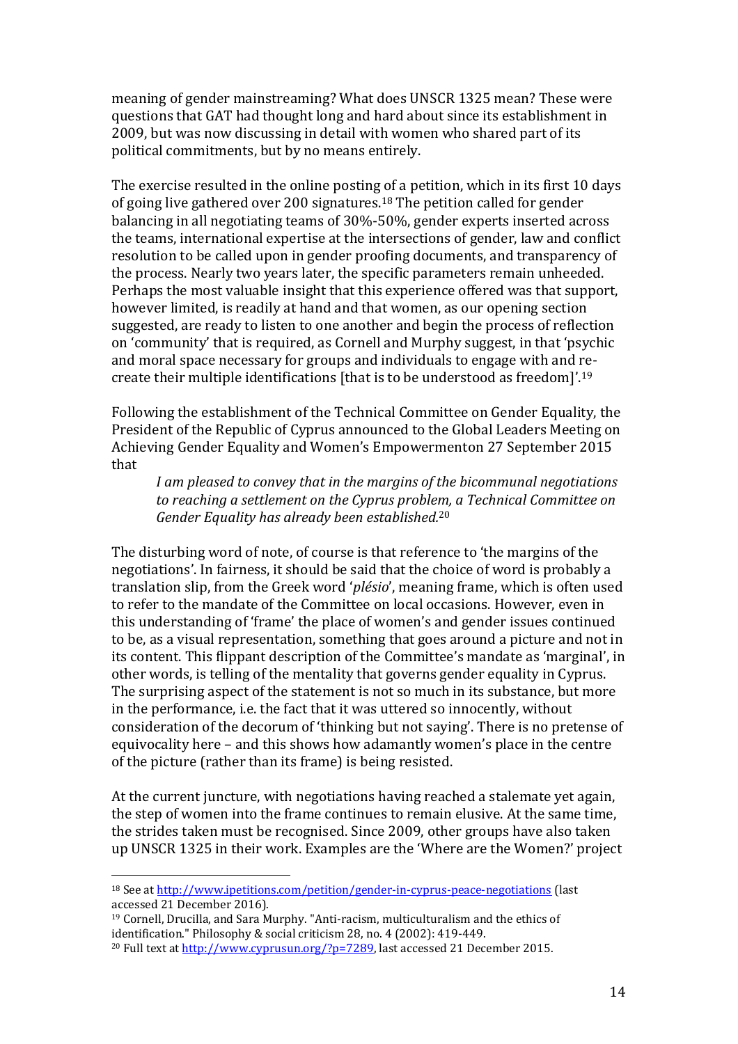meaning of gender mainstreaming? What does UNSCR 1325 mean? These were questions that GAT had thought long and hard about since its establishment in 2009, but was now discussing in detail with women who shared part of its political commitments, but by no means entirely.

The exercise resulted in the online posting of a petition, which in its first 10 days of going live gathered over 200 signatures.<sup>18</sup> The petition called for gender balancing in all negotiating teams of 30%-50%, gender experts inserted across the teams, international expertise at the intersections of gender, law and conflict resolution to be called upon in gender proofing documents, and transparency of the process. Nearly two years later, the specific parameters remain unheeded. Perhaps the most valuable insight that this experience offered was that support, however limited, is readily at hand and that women, as our opening section suggested, are ready to listen to one another and begin the process of reflection on 'community' that is required, as Cornell and Murphy suggest, in that 'psychic and moral space necessary for groups and individuals to engage with and recreate their multiple identifications [that is to be understood as freedom]'.<sup>19</sup>

Following the establishment of the Technical Committee on Gender Equality, the President of the Republic of Cyprus announced to the Global Leaders Meeting on Achieving Gender Equality and Women's Empowermenton 27 September 2015 that

*I am pleased to convey that in the margins of the bicommunal negotiations to reaching a settlement on the Cyprus problem, a Technical Committee on Gender Equality has already been established.*<sup>20</sup>

The disturbing word of note, of course is that reference to 'the margins of the negotiations'. In fairness, it should be said that the choice of word is probably a translation slip, from the Greek word '*plésio*', meaning frame, which is often used to refer to the mandate of the Committee on local occasions. However, even in this understanding of 'frame' the place of women's and gender issues continued to be, as a visual representation, something that goes around a picture and not in its content. This flippant description of the Committee's mandate as 'marginal', in other words, is telling of the mentality that governs gender equality in Cyprus. The surprising aspect of the statement is not so much in its substance, but more in the performance, i.e. the fact that it was uttered so innocently, without consideration of the decorum of 'thinking but not saying'. There is no pretense of equivocality here – and this shows how adamantly women's place in the centre of the picture (rather than its frame) is being resisted.

At the current juncture, with negotiations having reached a stalemate yet again, the step of women into the frame continues to remain elusive. At the same time, the strides taken must be recognised. Since 2009, other groups have also taken up UNSCR 1325 in their work. Examples are the 'Where are the Women?' project

<sup>18</sup> See at<http://www.ipetitions.com/petition/gender-in-cyprus-peace-negotiations> (last accessed 21 December 2016).

<sup>19</sup> Cornell, Drucilla, and Sara Murphy. "Anti-racism, multiculturalism and the ethics of identification." Philosophy & social criticism 28, no. 4 (2002): 419-449. <sup>20</sup> Full text at [http://www.cyprusun.org/?p=7289,](http://www.cyprusun.org/?p=7289) last accessed 21 December 2015.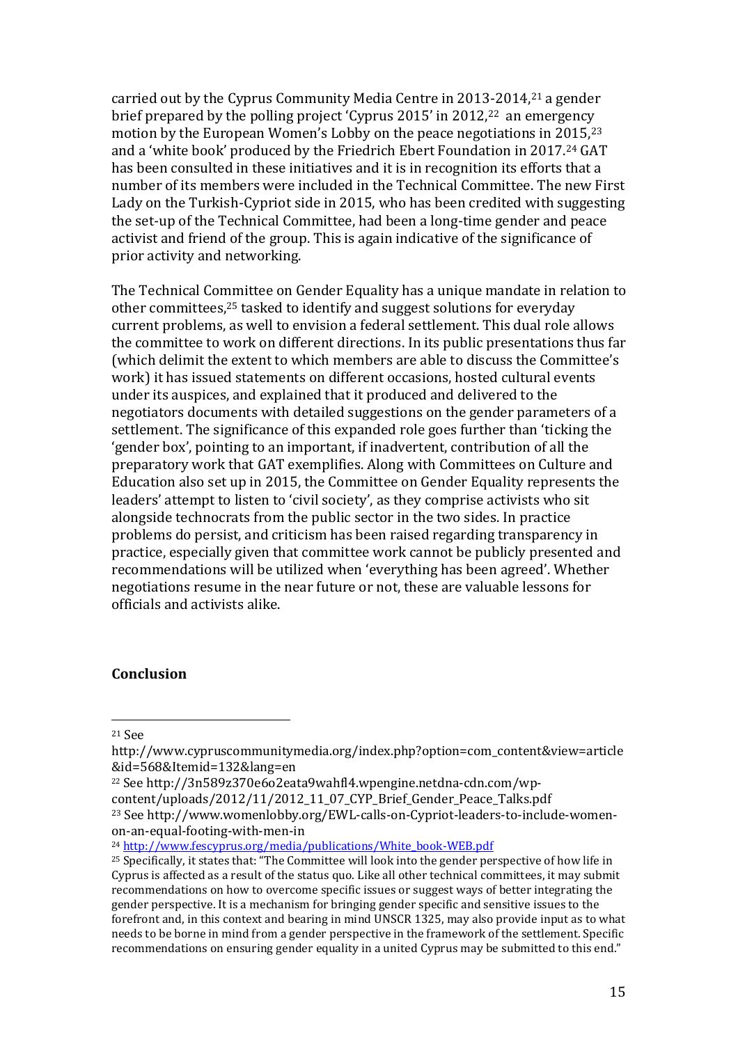carried out by the Cyprus Community Media Centre in 2013-2014,<sup>21</sup> a gender brief prepared by the polling project 'Cyprus 2015' in 2012,22 an emergency motion by the European Women's Lobby on the peace negotiations in 2015,<sup>23</sup> and a 'white book' produced by the Friedrich Ebert Foundation in 2017.<sup>24</sup> GAT has been consulted in these initiatives and it is in recognition its efforts that a number of its members were included in the Technical Committee. The new First Lady on the Turkish-Cypriot side in 2015, who has been credited with suggesting the set-up of the Technical Committee, had been a long-time gender and peace activist and friend of the group. This is again indicative of the significance of prior activity and networking.

The Technical Committee on Gender Equality has a unique mandate in relation to other committees, <sup>25</sup> tasked to identify and suggest solutions for everyday current problems, as well to envision a federal settlement. This dual role allows the committee to work on different directions. In its public presentations thus far (which delimit the extent to which members are able to discuss the Committee's work) it has issued statements on different occasions, hosted cultural events under its auspices, and explained that it produced and delivered to the negotiators documents with detailed suggestions on the gender parameters of a settlement. The significance of this expanded role goes further than 'ticking the 'gender box', pointing to an important, if inadvertent, contribution of all the preparatory work that GAT exemplifies. Along with Committees on Culture and Education also set up in 2015, the Committee on Gender Equality represents the leaders' attempt to listen to 'civil society', as they comprise activists who sit alongside technocrats from the public sector in the two sides. In practice problems do persist, and criticism has been raised regarding transparency in practice, especially given that committee work cannot be publicly presented and recommendations will be utilized when 'everything has been agreed'. Whether negotiations resume in the near future or not, these are valuable lessons for officials and activists alike.

# **Conclusion**

 $\overline{a}$ 

on-an-equal-footing-with-men-in

<sup>24</sup> [http://www.fescyprus.org/media/publications/White\\_book-WEB.pdf](http://www.fescyprus.org/media/publications/White_book-WEB.pdf)

<sup>21</sup> See

http://www.cypruscommunitymedia.org/index.php?option=com\_content&view=article &id=568&Itemid=132&lang=en

<sup>22</sup> See http://3n589z370e6o2eata9wahfl4.wpengine.netdna-cdn.com/wpcontent/uploads/2012/11/2012 11 07 CYP Brief Gender Peace Talks.pdf <sup>23</sup> See http://www.womenlobby.org/EWL-calls-on-Cypriot-leaders-to-include-women-

<sup>&</sup>lt;sup>25</sup> Specifically, it states that: "The Committee will look into the gender perspective of how life in Cyprus is affected as a result of the status quo. Like all other technical committees, it may submit recommendations on how to overcome specific issues or suggest ways of better integrating the gender perspective. It is a mechanism for bringing gender specific and sensitive issues to the forefront and, in this context and bearing in mind UNSCR 1325, may also provide input as to what needs to be borne in mind from a gender perspective in the framework of the settlement. Specific recommendations on ensuring gender equality in a united Cyprus may be submitted to this end."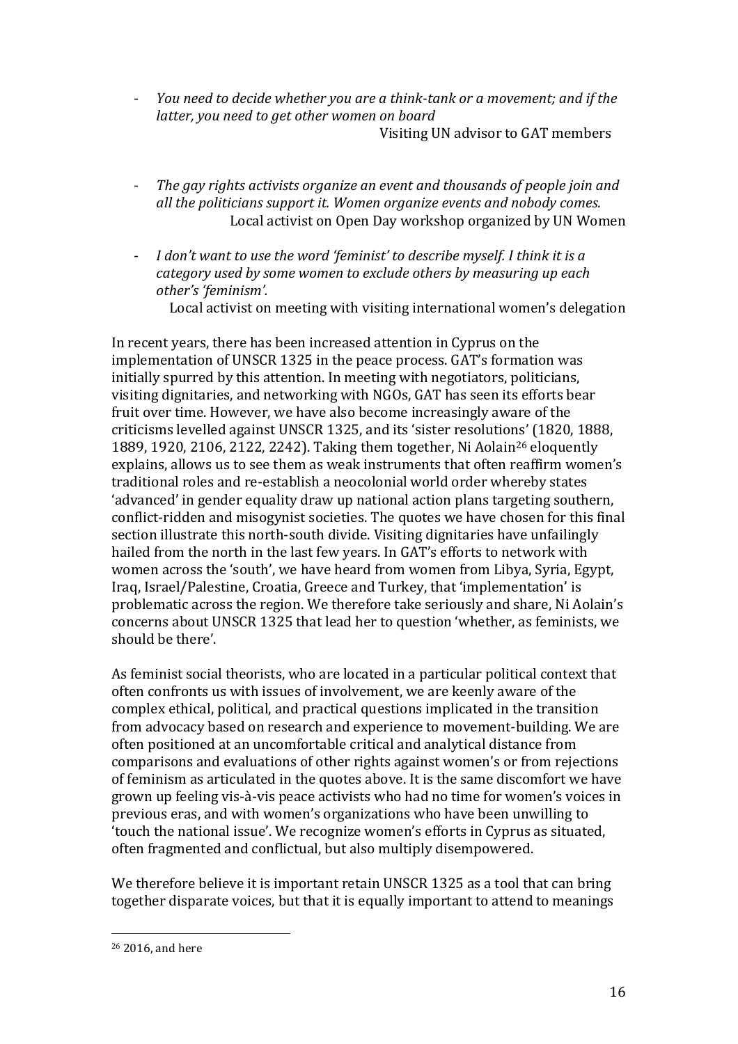- *You need to decide whether you are a think-tank or a movement; and if the latter, you need to get other women on board* Visiting UN advisor to GAT members
- *The gay rights activists organize an event and thousands of people join and all the politicians support it. Women organize events and nobody comes.* Local activist on Open Day workshop organized by UN Women
- *I don't want to use the word 'feminist' to describe myself. I think it is a category used by some women to exclude others by measuring up each other's 'feminism'.*

Local activist on meeting with visiting international women's delegation

In recent years, there has been increased attention in Cyprus on the implementation of UNSCR 1325 in the peace process. GAT's formation was initially spurred by this attention. In meeting with negotiators, politicians, visiting dignitaries, and networking with NGOs, GAT has seen its efforts bear fruit over time. However, we have also become increasingly aware of the criticisms levelled against UNSCR 1325, and its 'sister resolutions' (1820, 1888, 1889, 1920, 2106, 2122, 2242). Taking them together, Ni Aolain<sup>26</sup> eloquently explains, allows us to see them as weak instruments that often reaffirm women's traditional roles and re-establish a neocolonial world order whereby states 'advanced' in gender equality draw up national action plans targeting southern, conflict-ridden and misogynist societies. The quotes we have chosen for this final section illustrate this north-south divide. Visiting dignitaries have unfailingly hailed from the north in the last few years. In GAT's efforts to network with women across the 'south', we have heard from women from Libya, Syria, Egypt, Iraq, Israel/Palestine, Croatia, Greece and Turkey, that 'implementation' is problematic across the region. We therefore take seriously and share, Ni Aolain's concerns about UNSCR 1325 that lead her to question 'whether, as feminists, we should be there'.

As feminist social theorists, who are located in a particular political context that often confronts us with issues of involvement, we are keenly aware of the complex ethical, political, and practical questions implicated in the transition from advocacy based on research and experience to movement-building. We are often positioned at an uncomfortable critical and analytical distance from comparisons and evaluations of other rights against women's or from rejections of feminism as articulated in the quotes above. It is the same discomfort we have grown up feeling vis-à-vis peace activists who had no time for women's voices in previous eras, and with women's organizations who have been unwilling to 'touch the national issue'. We recognize women's efforts in Cyprus as situated, often fragmented and conflictual, but also multiply disempowered.

We therefore believe it is important retain UNSCR 1325 as a tool that can bring together disparate voices, but that it is equally important to attend to meanings

<sup>26</sup> 2016, and here